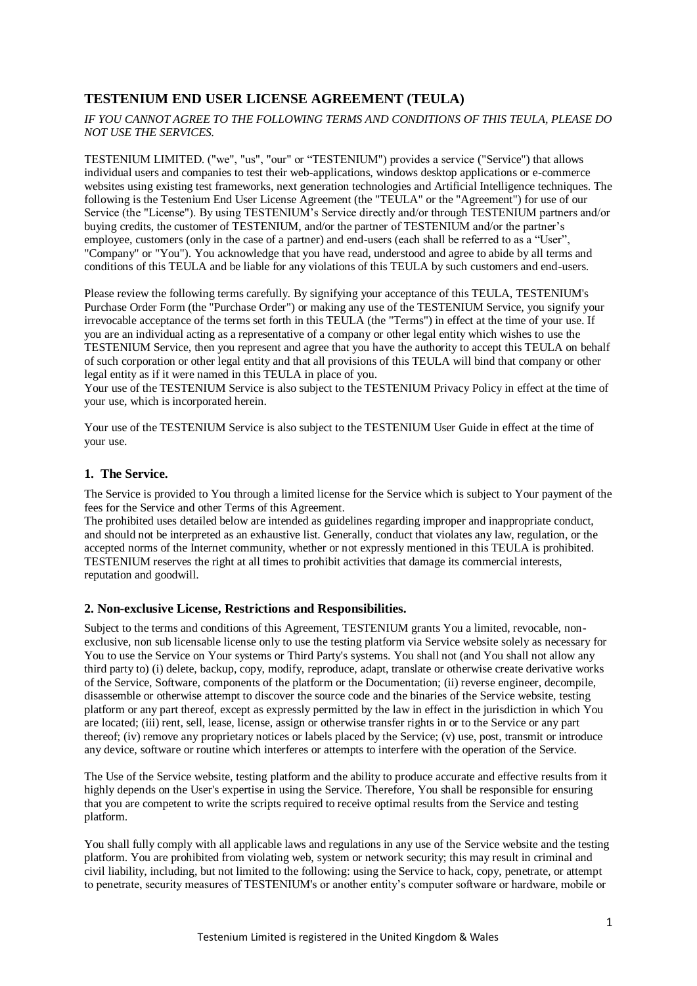# **TESTENIUM END USER LICENSE AGREEMENT (TEULA)**

*IF YOU CANNOT AGREE TO THE FOLLOWING TERMS AND CONDITIONS OF THIS TEULA, PLEASE DO NOT USE THE SERVICES.*

TESTENIUM LIMITED. ("we", "us", "our" or "TESTENIUM") provides a service ("Service") that allows individual users and companies to test their web-applications, windows desktop applications or e-commerce websites using existing test frameworks, next generation technologies and Artificial Intelligence techniques. The following is the Testenium End User License Agreement (the "TEULA" or the "Agreement") for use of our Service (the "License"). By using TESTENIUM's Service directly and/or through TESTENIUM partners and/or buying credits, the customer of TESTENIUM, and/or the partner of TESTENIUM and/or the partner's employee, customers (only in the case of a partner) and end-users (each shall be referred to as a "User", "Company" or "You"). You acknowledge that you have read, understood and agree to abide by all terms and conditions of this TEULA and be liable for any violations of this TEULA by such customers and end-users.

Please review the following terms carefully. By signifying your acceptance of this TEULA, TESTENIUM's Purchase Order Form (the "Purchase Order") or making any use of the TESTENIUM Service, you signify your irrevocable acceptance of the terms set forth in this TEULA (the "Terms") in effect at the time of your use. If you are an individual acting as a representative of a company or other legal entity which wishes to use the TESTENIUM Service, then you represent and agree that you have the authority to accept this TEULA on behalf of such corporation or other legal entity and that all provisions of this TEULA will bind that company or other legal entity as if it were named in this TEULA in place of you.

Your use of the TESTENIUM Service is also subject to the TESTENIUM Privacy Policy in effect at the time of your use, which is incorporated herein.

Your use of the TESTENIUM Service is also subject to the TESTENIUM User Guide in effect at the time of your use.

### **1. The Service.**

The Service is provided to You through a limited license for the Service which is subject to Your payment of the fees for the Service and other Terms of this Agreement.

The prohibited uses detailed below are intended as guidelines regarding improper and inappropriate conduct, and should not be interpreted as an exhaustive list. Generally, conduct that violates any law, regulation, or the accepted norms of the Internet community, whether or not expressly mentioned in this TEULA is prohibited. TESTENIUM reserves the right at all times to prohibit activities that damage its commercial interests, reputation and goodwill.

## **2. Non-exclusive License, Restrictions and Responsibilities.**

Subject to the terms and conditions of this Agreement, TESTENIUM grants You a limited, revocable, nonexclusive, non sub licensable license only to use the testing platform via Service website solely as necessary for You to use the Service on Your systems or Third Party's systems. You shall not (and You shall not allow any third party to) (i) delete, backup, copy, modify, reproduce, adapt, translate or otherwise create derivative works of the Service, Software, components of the platform or the Documentation; (ii) reverse engineer, decompile, disassemble or otherwise attempt to discover the source code and the binaries of the Service website, testing platform or any part thereof, except as expressly permitted by the law in effect in the jurisdiction in which You are located; (iii) rent, sell, lease, license, assign or otherwise transfer rights in or to the Service or any part thereof; (iv) remove any proprietary notices or labels placed by the Service; (v) use, post, transmit or introduce any device, software or routine which interferes or attempts to interfere with the operation of the Service.

The Use of the Service website, testing platform and the ability to produce accurate and effective results from it highly depends on the User's expertise in using the Service. Therefore, You shall be responsible for ensuring that you are competent to write the scripts required to receive optimal results from the Service and testing platform.

You shall fully comply with all applicable laws and regulations in any use of the Service website and the testing platform. You are prohibited from violating web, system or network security; this may result in criminal and civil liability, including, but not limited to the following: using the Service to hack, copy, penetrate, or attempt to penetrate, security measures of TESTENIUM's or another entity's computer software or hardware, mobile or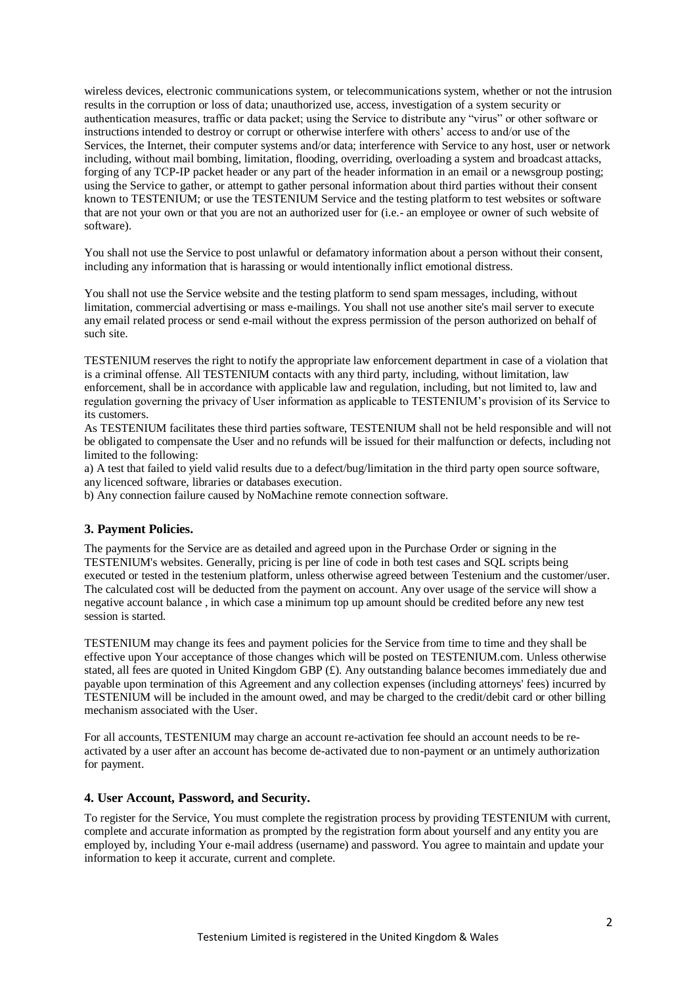wireless devices, electronic communications system, or telecommunications system, whether or not the intrusion results in the corruption or loss of data; unauthorized use, access, investigation of a system security or authentication measures, traffic or data packet; using the Service to distribute any "virus" or other software or instructions intended to destroy or corrupt or otherwise interfere with others' access to and/or use of the Services, the Internet, their computer systems and/or data; interference with Service to any host, user or network including, without mail bombing, limitation, flooding, overriding, overloading a system and broadcast attacks, forging of any TCP-IP packet header or any part of the header information in an email or a newsgroup posting; using the Service to gather, or attempt to gather personal information about third parties without their consent known to TESTENIUM; or use the TESTENIUM Service and the testing platform to test websites or software that are not your own or that you are not an authorized user for (i.e.- an employee or owner of such website of software).

You shall not use the Service to post unlawful or defamatory information about a person without their consent, including any information that is harassing or would intentionally inflict emotional distress.

You shall not use the Service website and the testing platform to send spam messages, including, without limitation, commercial advertising or mass e-mailings. You shall not use another site's mail server to execute any email related process or send e-mail without the express permission of the person authorized on behalf of such site.

TESTENIUM reserves the right to notify the appropriate law enforcement department in case of a violation that is a criminal offense. All TESTENIUM contacts with any third party, including, without limitation, law enforcement, shall be in accordance with applicable law and regulation, including, but not limited to, law and regulation governing the privacy of User information as applicable to TESTENIUM's provision of its Service to its customers.

As TESTENIUM facilitates these third parties software, TESTENIUM shall not be held responsible and will not be obligated to compensate the User and no refunds will be issued for their malfunction or defects, including not limited to the following:

a) A test that failed to yield valid results due to a defect/bug/limitation in the third party open source software, any licenced software, libraries or databases execution.

b) Any connection failure caused by NoMachine remote connection software.

#### **3. Payment Policies.**

The payments for the Service are as detailed and agreed upon in the Purchase Order or signing in the TESTENIUM's websites. Generally, pricing is per line of code in both test cases and SQL scripts being executed or tested in the testenium platform, unless otherwise agreed between Testenium and the customer/user. The calculated cost will be deducted from the payment on account. Any over usage of the service will show a negative account balance , in which case a minimum top up amount should be credited before any new test session is started.

TESTENIUM may change its fees and payment policies for the Service from time to time and they shall be effective upon Your acceptance of those changes which will be posted on TESTENIUM.com. Unless otherwise stated, all fees are quoted in United Kingdom GBP  $(E)$ . Any outstanding balance becomes immediately due and payable upon termination of this Agreement and any collection expenses (including attorneys' fees) incurred by TESTENIUM will be included in the amount owed, and may be charged to the credit/debit card or other billing mechanism associated with the User.

For all accounts, TESTENIUM may charge an account re-activation fee should an account needs to be reactivated by a user after an account has become de-activated due to non-payment or an untimely authorization for payment.

#### **4. User Account, Password, and Security.**

To register for the Service, You must complete the registration process by providing TESTENIUM with current, complete and accurate information as prompted by the registration form about yourself and any entity you are employed by, including Your e-mail address (username) and password. You agree to maintain and update your information to keep it accurate, current and complete.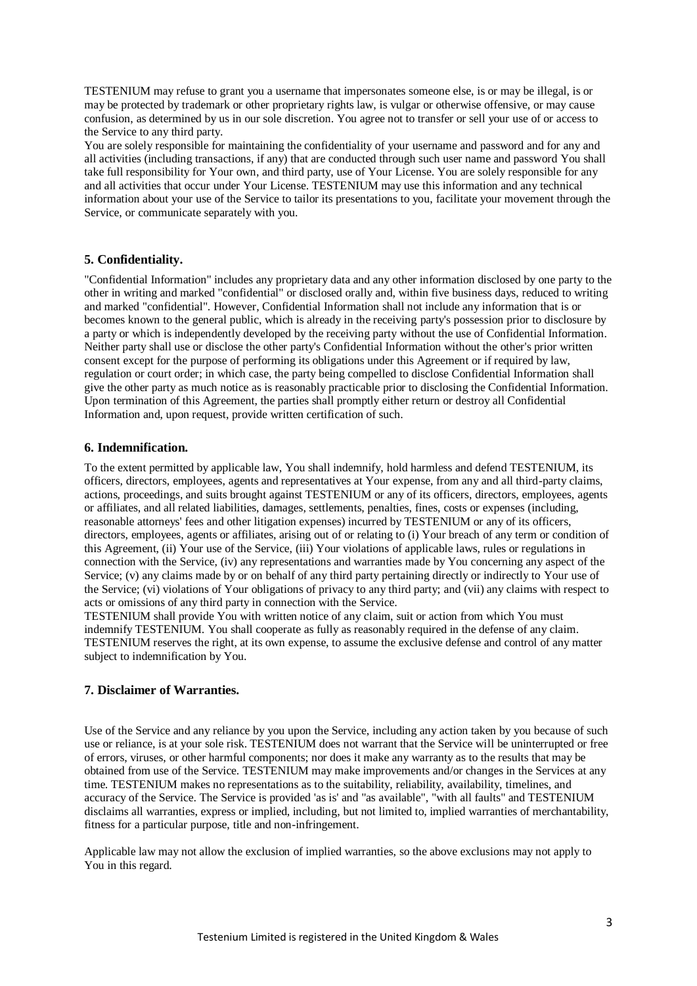TESTENIUM may refuse to grant you a username that impersonates someone else, is or may be illegal, is or may be protected by trademark or other proprietary rights law, is vulgar or otherwise offensive, or may cause confusion, as determined by us in our sole discretion. You agree not to transfer or sell your use of or access to the Service to any third party.

You are solely responsible for maintaining the confidentiality of your username and password and for any and all activities (including transactions, if any) that are conducted through such user name and password You shall take full responsibility for Your own, and third party, use of Your License. You are solely responsible for any and all activities that occur under Your License. TESTENIUM may use this information and any technical information about your use of the Service to tailor its presentations to you, facilitate your movement through the Service, or communicate separately with you.

#### **5. Confidentiality.**

"Confidential Information" includes any proprietary data and any other information disclosed by one party to the other in writing and marked "confidential" or disclosed orally and, within five business days, reduced to writing and marked "confidential". However, Confidential Information shall not include any information that is or becomes known to the general public, which is already in the receiving party's possession prior to disclosure by a party or which is independently developed by the receiving party without the use of Confidential Information. Neither party shall use or disclose the other party's Confidential Information without the other's prior written consent except for the purpose of performing its obligations under this Agreement or if required by law, regulation or court order; in which case, the party being compelled to disclose Confidential Information shall give the other party as much notice as is reasonably practicable prior to disclosing the Confidential Information. Upon termination of this Agreement, the parties shall promptly either return or destroy all Confidential Information and, upon request, provide written certification of such.

#### **6. Indemnification.**

To the extent permitted by applicable law, You shall indemnify, hold harmless and defend TESTENIUM, its officers, directors, employees, agents and representatives at Your expense, from any and all third-party claims, actions, proceedings, and suits brought against TESTENIUM or any of its officers, directors, employees, agents or affiliates, and all related liabilities, damages, settlements, penalties, fines, costs or expenses (including, reasonable attorneys' fees and other litigation expenses) incurred by TESTENIUM or any of its officers, directors, employees, agents or affiliates, arising out of or relating to (i) Your breach of any term or condition of this Agreement, (ii) Your use of the Service, (iii) Your violations of applicable laws, rules or regulations in connection with the Service, (iv) any representations and warranties made by You concerning any aspect of the Service; (v) any claims made by or on behalf of any third party pertaining directly or indirectly to Your use of the Service; (vi) violations of Your obligations of privacy to any third party; and (vii) any claims with respect to acts or omissions of any third party in connection with the Service.

TESTENIUM shall provide You with written notice of any claim, suit or action from which You must indemnify TESTENIUM. You shall cooperate as fully as reasonably required in the defense of any claim. TESTENIUM reserves the right, at its own expense, to assume the exclusive defense and control of any matter subject to indemnification by You.

#### **7. Disclaimer of Warranties.**

Use of the Service and any reliance by you upon the Service, including any action taken by you because of such use or reliance, is at your sole risk. TESTENIUM does not warrant that the Service will be uninterrupted or free of errors, viruses, or other harmful components; nor does it make any warranty as to the results that may be obtained from use of the Service. TESTENIUM may make improvements and/or changes in the Services at any time. TESTENIUM makes no representations as to the suitability, reliability, availability, timelines, and accuracy of the Service. The Service is provided 'as is' and "as available", "with all faults" and TESTENIUM disclaims all warranties, express or implied, including, but not limited to, implied warranties of merchantability, fitness for a particular purpose, title and non-infringement.

Applicable law may not allow the exclusion of implied warranties, so the above exclusions may not apply to You in this regard.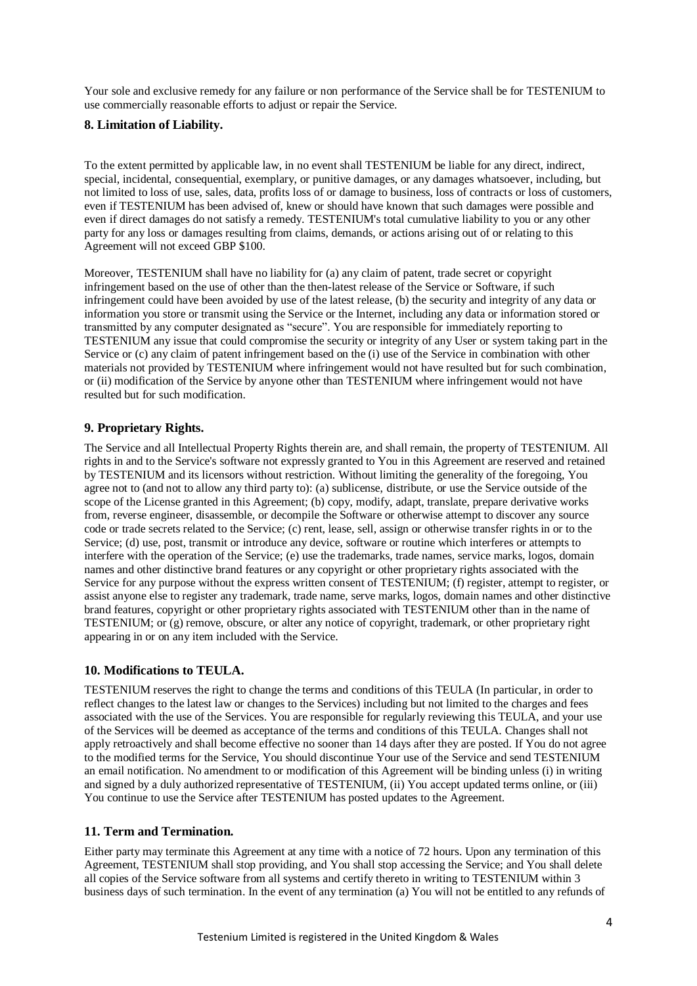Your sole and exclusive remedy for any failure or non performance of the Service shall be for TESTENIUM to use commercially reasonable efforts to adjust or repair the Service.

## **8. Limitation of Liability.**

To the extent permitted by applicable law, in no event shall TESTENIUM be liable for any direct, indirect, special, incidental, consequential, exemplary, or punitive damages, or any damages whatsoever, including, but not limited to loss of use, sales, data, profits loss of or damage to business, loss of contracts or loss of customers, even if TESTENIUM has been advised of, knew or should have known that such damages were possible and even if direct damages do not satisfy a remedy. TESTENIUM's total cumulative liability to you or any other party for any loss or damages resulting from claims, demands, or actions arising out of or relating to this Agreement will not exceed GBP \$100.

Moreover, TESTENIUM shall have no liability for (a) any claim of patent, trade secret or copyright infringement based on the use of other than the then-latest release of the Service or Software, if such infringement could have been avoided by use of the latest release, (b) the security and integrity of any data or information you store or transmit using the Service or the Internet, including any data or information stored or transmitted by any computer designated as "secure". You are responsible for immediately reporting to TESTENIUM any issue that could compromise the security or integrity of any User or system taking part in the Service or (c) any claim of patent infringement based on the (i) use of the Service in combination with other materials not provided by TESTENIUM where infringement would not have resulted but for such combination, or (ii) modification of the Service by anyone other than TESTENIUM where infringement would not have resulted but for such modification.

## **9. Proprietary Rights.**

The Service and all Intellectual Property Rights therein are, and shall remain, the property of TESTENIUM. All rights in and to the Service's software not expressly granted to You in this Agreement are reserved and retained by TESTENIUM and its licensors without restriction. Without limiting the generality of the foregoing, You agree not to (and not to allow any third party to): (a) sublicense, distribute, or use the Service outside of the scope of the License granted in this Agreement; (b) copy, modify, adapt, translate, prepare derivative works from, reverse engineer, disassemble, or decompile the Software or otherwise attempt to discover any source code or trade secrets related to the Service; (c) rent, lease, sell, assign or otherwise transfer rights in or to the Service; (d) use, post, transmit or introduce any device, software or routine which interferes or attempts to interfere with the operation of the Service; (e) use the trademarks, trade names, service marks, logos, domain names and other distinctive brand features or any copyright or other proprietary rights associated with the Service for any purpose without the express written consent of TESTENIUM; (f) register, attempt to register, or assist anyone else to register any trademark, trade name, serve marks, logos, domain names and other distinctive brand features, copyright or other proprietary rights associated with TESTENIUM other than in the name of TESTENIUM; or (g) remove, obscure, or alter any notice of copyright, trademark, or other proprietary right appearing in or on any item included with the Service.

## **10. Modifications to TEULA.**

TESTENIUM reserves the right to change the terms and conditions of this TEULA (In particular, in order to reflect changes to the latest law or changes to the Services) including but not limited to the charges and fees associated with the use of the Services. You are responsible for regularly reviewing this TEULA, and your use of the Services will be deemed as acceptance of the terms and conditions of this TEULA. Changes shall not apply retroactively and shall become effective no sooner than 14 days after they are posted. If You do not agree to the modified terms for the Service, You should discontinue Your use of the Service and send TESTENIUM an email notification. No amendment to or modification of this Agreement will be binding unless (i) in writing and signed by a duly authorized representative of TESTENIUM, (ii) You accept updated terms online, or (iii) You continue to use the Service after TESTENIUM has posted updates to the Agreement.

## **11. Term and Termination.**

Either party may terminate this Agreement at any time with a notice of 72 hours. Upon any termination of this Agreement, TESTENIUM shall stop providing, and You shall stop accessing the Service; and You shall delete all copies of the Service software from all systems and certify thereto in writing to TESTENIUM within 3 business days of such termination. In the event of any termination (a) You will not be entitled to any refunds of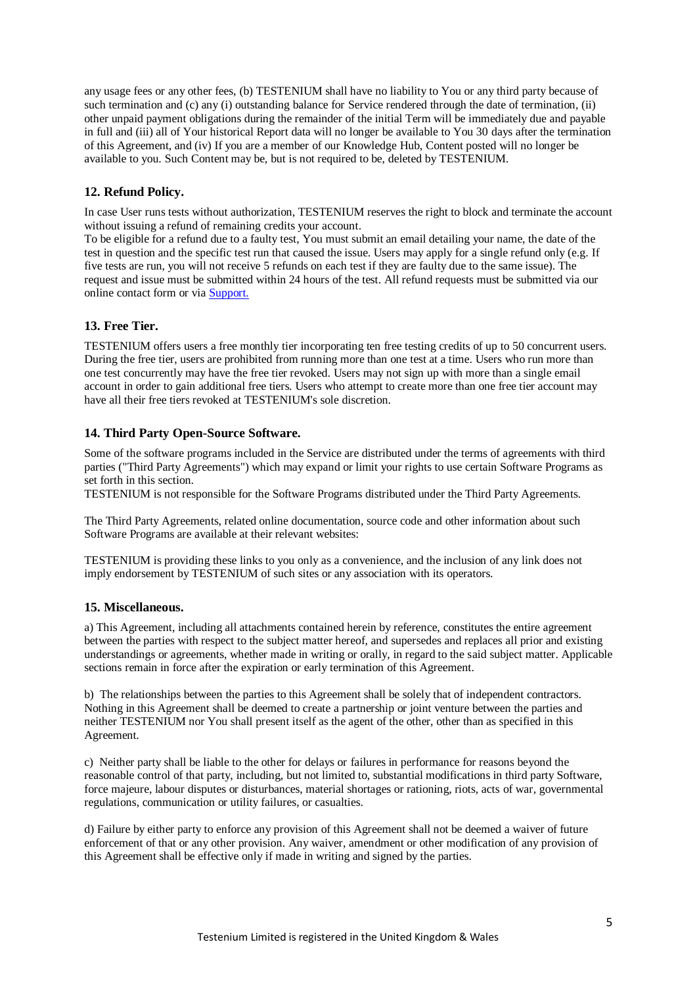any usage fees or any other fees, (b) TESTENIUM shall have no liability to You or any third party because of such termination and (c) any (i) outstanding balance for Service rendered through the date of termination, (ii) other unpaid payment obligations during the remainder of the initial Term will be immediately due and payable in full and (iii) all of Your historical Report data will no longer be available to You 30 days after the termination of this Agreement, and (iv) If you are a member of our Knowledge Hub, Content posted will no longer be available to you. Such Content may be, but is not required to be, deleted by TESTENIUM.

### **12. Refund Policy.**

In case User runs tests without authorization, TESTENIUM reserves the right to block and terminate the account without issuing a refund of remaining credits your account.

To be eligible for a refund due to a faulty test, You must submit an email detailing your name, the date of the test in question and the specific test run that caused the issue. Users may apply for a single refund only (e.g. If five tests are run, you will not receive 5 refunds on each test if they are faulty due to the same issue). The request and issue must be submitted within 24 hours of the test. All refund requests must be submitted via our online contact form or via [Support.](mailto:support@testenium.com?subject=Refund%20required)

### **13. Free Tier.**

TESTENIUM offers users a free monthly tier incorporating ten free testing credits of up to 50 concurrent users. During the free tier, users are prohibited from running more than one test at a time. Users who run more than one test concurrently may have the free tier revoked. Users may not sign up with more than a single email account in order to gain additional free tiers. Users who attempt to create more than one free tier account may have all their free tiers revoked at TESTENIUM's sole discretion.

### **14. Third Party Open-Source Software.**

Some of the software programs included in the Service are distributed under the terms of agreements with third parties ("Third Party Agreements") which may expand or limit your rights to use certain Software Programs as set forth in this section.

TESTENIUM is not responsible for the Software Programs distributed under the Third Party Agreements.

The Third Party Agreements, related online documentation, source code and other information about such Software Programs are available at their relevant websites:

TESTENIUM is providing these links to you only as a convenience, and the inclusion of any link does not imply endorsement by TESTENIUM of such sites or any association with its operators.

### **15. Miscellaneous.**

a) This Agreement, including all attachments contained herein by reference, constitutes the entire agreement between the parties with respect to the subject matter hereof, and supersedes and replaces all prior and existing understandings or agreements, whether made in writing or orally, in regard to the said subject matter. Applicable sections remain in force after the expiration or early termination of this Agreement.

b) The relationships between the parties to this Agreement shall be solely that of independent contractors. Nothing in this Agreement shall be deemed to create a partnership or joint venture between the parties and neither TESTENIUM nor You shall present itself as the agent of the other, other than as specified in this Agreement.

c) Neither party shall be liable to the other for delays or failures in performance for reasons beyond the reasonable control of that party, including, but not limited to, substantial modifications in third party Software, force majeure, labour disputes or disturbances, material shortages or rationing, riots, acts of war, governmental regulations, communication or utility failures, or casualties.

d) Failure by either party to enforce any provision of this Agreement shall not be deemed a waiver of future enforcement of that or any other provision. Any waiver, amendment or other modification of any provision of this Agreement shall be effective only if made in writing and signed by the parties.